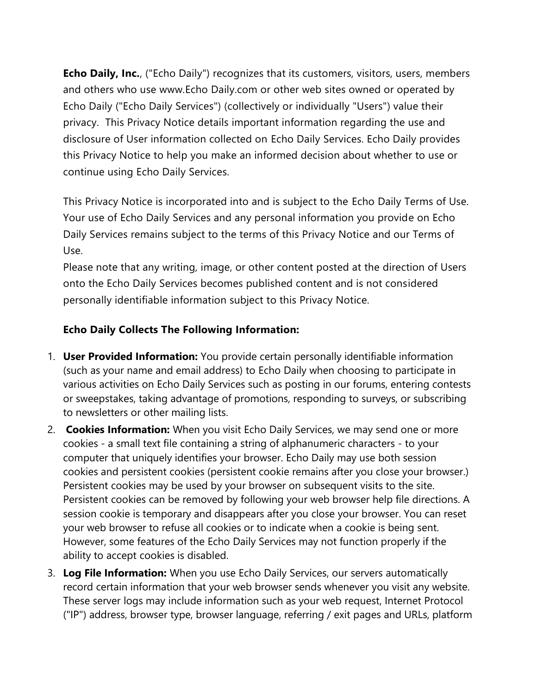**Echo Daily, Inc.**, ("Echo Daily") recognizes that its customers, visitors, users, members and others who use www.Echo Daily.com or other web sites owned or operated by Echo Daily ("Echo Daily Services") (collectively or individually "Users") value their privacy. This Privacy Notice details important information regarding the use and disclosure of User information collected on Echo Daily Services. Echo Daily provides this Privacy Notice to help you make an informed decision about whether to use or continue using Echo Daily Services.

This Privacy Notice is incorporated into and is subject to the Echo Daily Terms of Use. Your use of Echo Daily Services and any personal information you provide on Echo Daily Services remains subject to the terms of this Privacy Notice and our Terms of Use.

Please note that any writing, image, or other content posted at the direction of Users onto the Echo Daily Services becomes published content and is not considered personally identifiable information subject to this Privacy Notice.

## **Echo Daily Collects The Following Information:**

- 1. **User Provided Information:** You provide certain personally identifiable information (such as your name and email address) to Echo Daily when choosing to participate in various activities on Echo Daily Services such as posting in our forums, entering contests or sweepstakes, taking advantage of promotions, responding to surveys, or subscribing to newsletters or other mailing lists.
- 2. **Cookies Information:** When you visit Echo Daily Services, we may send one or more cookies - a small text file containing a string of alphanumeric characters - to your computer that uniquely identifies your browser. Echo Daily may use both session cookies and persistent cookies (persistent cookie remains after you close your browser.) Persistent cookies may be used by your browser on subsequent visits to the site. Persistent cookies can be removed by following your web browser help file directions. A session cookie is temporary and disappears after you close your browser. You can reset your web browser to refuse all cookies or to indicate when a cookie is being sent. However, some features of the Echo Daily Services may not function properly if the ability to accept cookies is disabled.
- 3. **Log File Information:** When you use Echo Daily Services, our servers automatically record certain information that your web browser sends whenever you visit any website. These server logs may include information such as your web request, Internet Protocol ("IP") address, browser type, browser language, referring / exit pages and URLs, platform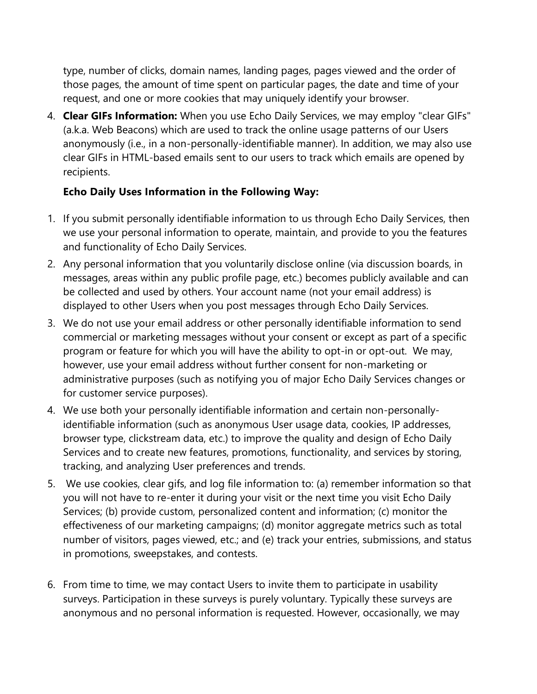type, number of clicks, domain names, landing pages, pages viewed and the order of those pages, the amount of time spent on particular pages, the date and time of your request, and one or more cookies that may uniquely identify your browser.

4. **Clear GIFs Information:** When you use Echo Daily Services, we may employ "clear GIFs" (a.k.a. Web Beacons) which are used to track the online usage patterns of our Users anonymously (i.e., in a non-personally-identifiable manner). In addition, we may also use clear GIFs in HTML-based emails sent to our users to track which emails are opened by recipients.

# **Echo Daily Uses Information in the Following Way:**

- 1. If you submit personally identifiable information to us through Echo Daily Services, then we use your personal information to operate, maintain, and provide to you the features and functionality of Echo Daily Services.
- 2. Any personal information that you voluntarily disclose online (via discussion boards, in messages, areas within any public profile page, etc.) becomes publicly available and can be collected and used by others. Your account name (not your email address) is displayed to other Users when you post messages through Echo Daily Services.
- 3. We do not use your email address or other personally identifiable information to send commercial or marketing messages without your consent or except as part of a specific program or feature for which you will have the ability to opt-in or opt-out. We may, however, use your email address without further consent for non-marketing or administrative purposes (such as notifying you of major Echo Daily Services changes or for customer service purposes).
- 4. We use both your personally identifiable information and certain non-personallyidentifiable information (such as anonymous User usage data, cookies, IP addresses, browser type, clickstream data, etc.) to improve the quality and design of Echo Daily Services and to create new features, promotions, functionality, and services by storing, tracking, and analyzing User preferences and trends.
- 5. We use cookies, clear gifs, and log file information to: (a) remember information so that you will not have to re-enter it during your visit or the next time you visit Echo Daily Services; (b) provide custom, personalized content and information; (c) monitor the effectiveness of our marketing campaigns; (d) monitor aggregate metrics such as total number of visitors, pages viewed, etc.; and (e) track your entries, submissions, and status in promotions, sweepstakes, and contests.
- 6. From time to time, we may contact Users to invite them to participate in usability surveys. Participation in these surveys is purely voluntary. Typically these surveys are anonymous and no personal information is requested. However, occasionally, we may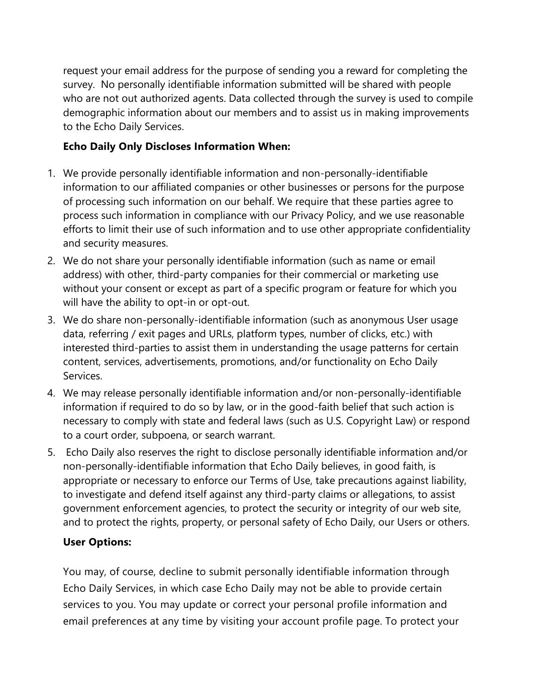request your email address for the purpose of sending you a reward for completing the survey. No personally identifiable information submitted will be shared with people who are not out authorized agents. Data collected through the survey is used to compile demographic information about our members and to assist us in making improvements to the Echo Daily Services.

# **Echo Daily Only Discloses Information When:**

- 1. We provide personally identifiable information and non-personally-identifiable information to our affiliated companies or other businesses or persons for the purpose of processing such information on our behalf. We require that these parties agree to process such information in compliance with our Privacy Policy, and we use reasonable efforts to limit their use of such information and to use other appropriate confidentiality and security measures.
- 2. We do not share your personally identifiable information (such as name or email address) with other, third-party companies for their commercial or marketing use without your consent or except as part of a specific program or feature for which you will have the ability to opt-in or opt-out.
- 3. We do share non-personally-identifiable information (such as anonymous User usage data, referring / exit pages and URLs, platform types, number of clicks, etc.) with interested third-parties to assist them in understanding the usage patterns for certain content, services, advertisements, promotions, and/or functionality on Echo Daily Services.
- 4. We may release personally identifiable information and/or non-personally-identifiable information if required to do so by law, or in the good-faith belief that such action is necessary to comply with state and federal laws (such as U.S. Copyright Law) or respond to a court order, subpoena, or search warrant.
- 5. Echo Daily also reserves the right to disclose personally identifiable information and/or non-personally-identifiable information that Echo Daily believes, in good faith, is appropriate or necessary to enforce our Terms of Use, take precautions against liability, to investigate and defend itself against any third-party claims or allegations, to assist government enforcement agencies, to protect the security or integrity of our web site, and to protect the rights, property, or personal safety of Echo Daily, our Users or others.

## **User Options:**

You may, of course, decline to submit personally identifiable information through Echo Daily Services, in which case Echo Daily may not be able to provide certain services to you. You may update or correct your personal profile information and email preferences at any time by visiting your account profile page. To protect your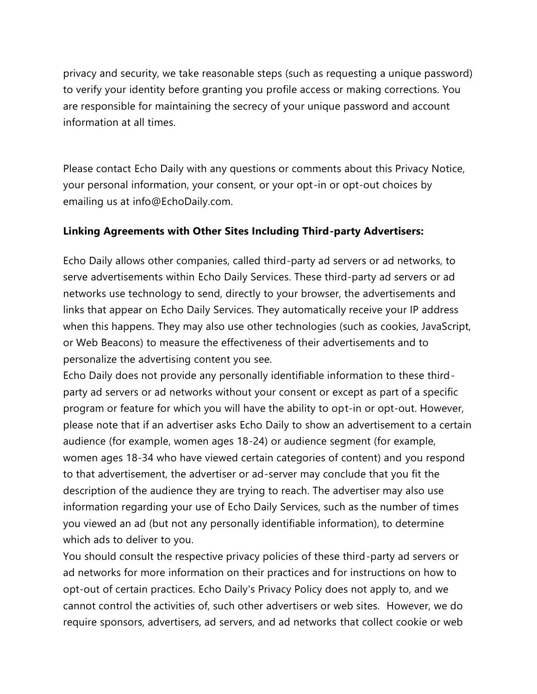privacy and security, we take reasonable steps (such as requesting a unique password) to verify your identity before granting you profile access or making corrections. You are responsible for maintaining the secrecy of your unique password and account information at all times.

Please contact Echo Daily with any questions or comments about this Privacy Notice, your personal information, your consent, or your opt-in or opt-out choices by emailing us at info@EchoDaily.com.

### **Linking Agreements with Other Sites Including Third-party Advertisers:**

Echo Daily allows other companies, called third-party ad servers or ad networks, to serve advertisements within Echo Daily Services. These third-party ad servers or ad networks use technology to send, directly to your browser, the advertisements and links that appear on Echo Daily Services. They automatically receive your IP address when this happens. They may also use other technologies (such as cookies, JavaScript, or Web Beacons) to measure the effectiveness of their advertisements and to personalize the advertising content you see.

Echo Daily does not provide any personally identifiable information to these thirdparty ad servers or ad networks without your consent or except as part of a specific program or feature for which you will have the ability to opt-in or opt-out. However, please note that if an advertiser asks Echo Daily to show an advertisement to a certain audience (for example, women ages 18-24) or audience segment (for example, women ages 18-34 who have viewed certain categories of content) and you respond to that advertisement, the advertiser or ad-server may conclude that you fit the description of the audience they are trying to reach. The advertiser may also use information regarding your use of Echo Daily Services, such as the number of times you viewed an ad (but not any personally identifiable information), to determine which ads to deliver to you.

You should consult the respective privacy policies of these third-party ad servers or ad networks for more information on their practices and for instructions on how to opt-out of certain practices. Echo Daily's Privacy Policy does not apply to, and we cannot control the activities of, such other advertisers or web sites. However, we do require sponsors, advertisers, ad servers, and ad networks that collect cookie or web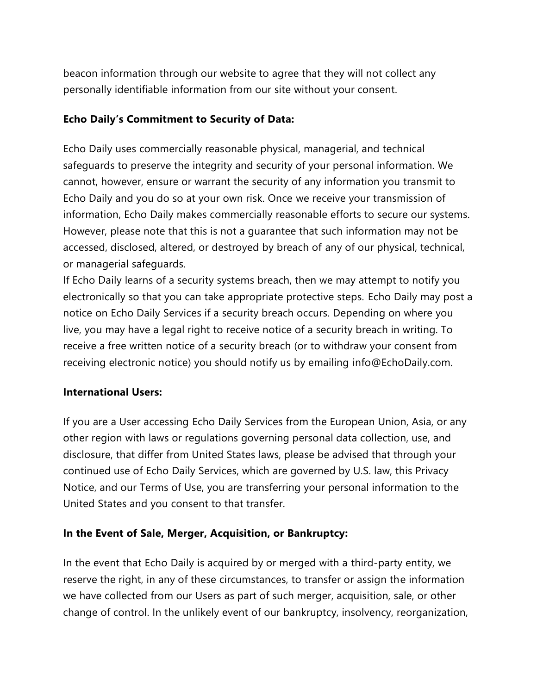beacon information through our website to agree that they will not collect any personally identifiable information from our site without your consent.

### **Echo Daily's Commitment to Security of Data:**

Echo Daily uses commercially reasonable physical, managerial, and technical safeguards to preserve the integrity and security of your personal information. We cannot, however, ensure or warrant the security of any information you transmit to Echo Daily and you do so at your own risk. Once we receive your transmission of information, Echo Daily makes commercially reasonable efforts to secure our systems. However, please note that this is not a guarantee that such information may not be accessed, disclosed, altered, or destroyed by breach of any of our physical, technical, or managerial safeguards.

If Echo Daily learns of a security systems breach, then we may attempt to notify you electronically so that you can take appropriate protective steps. Echo Daily may post a notice on Echo Daily Services if a security breach occurs. Depending on where you live, you may have a legal right to receive notice of a security breach in writing. To receive a free written notice of a security breach (or to withdraw your consent from receiving electronic notice) you should notify us by emailing info@EchoDaily.com.

#### **International Users:**

If you are a User accessing Echo Daily Services from the European Union, Asia, or any other region with laws or regulations governing personal data collection, use, and disclosure, that differ from United States laws, please be advised that through your continued use of Echo Daily Services, which are governed by U.S. law, this Privacy Notice, and our Terms of Use, you are transferring your personal information to the United States and you consent to that transfer.

#### **In the Event of Sale, Merger, Acquisition, or Bankruptcy:**

In the event that Echo Daily is acquired by or merged with a third-party entity, we reserve the right, in any of these circumstances, to transfer or assign the information we have collected from our Users as part of such merger, acquisition, sale, or other change of control. In the unlikely event of our bankruptcy, insolvency, reorganization,